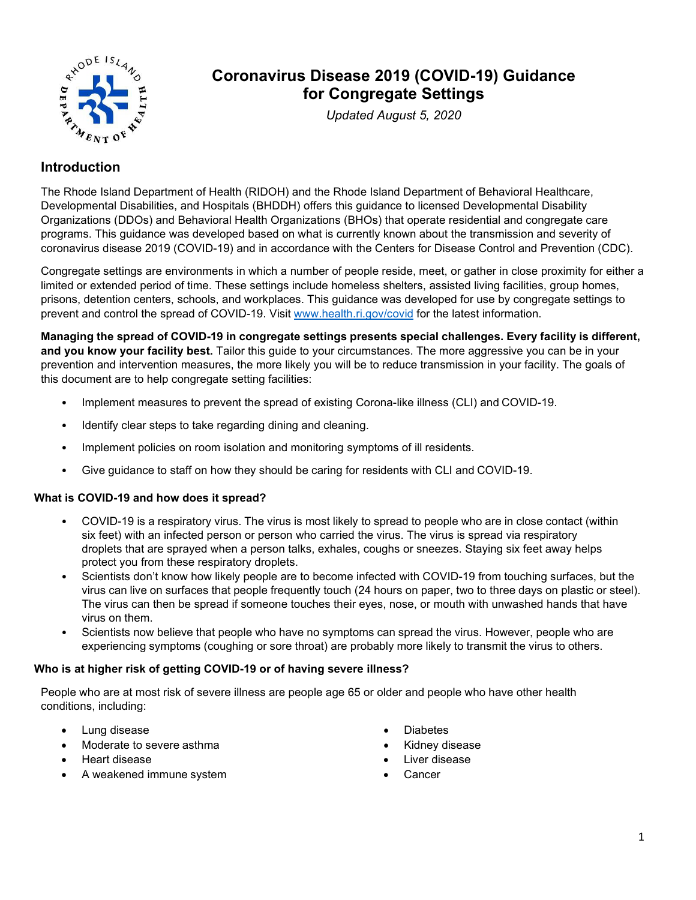

# **Coronavirus Disease 2019 (COVID-19) Guidance for Congregate Settings**

*Updated August 5, 2020*

# **Introduction**

The Rhode Island Department of Health (RIDOH) and the Rhode Island Department of Behavioral Healthcare, Developmental Disabilities, and Hospitals (BHDDH) offers this guidance to licensed Developmental Disability Organizations (DDOs) and Behavioral Health Organizations (BHOs) that operate residential and congregate care programs. This guidance was developed based on what is currently known about the transmission and severity of coronavirus disease 2019 (COVID-19) and in accordance with the Centers for Disease Control and Prevention (CDC).

Congregate settings are environments in which a number of people reside, meet, or gather in close proximity for either a limited or extended period of time. These settings include homeless shelters, assisted living facilities, group homes, prisons, detention centers, schools, and workplaces. This guidance was developed for use by congregate settings to prevent and control the spread of COVID-19. Visit [www.health.ri.gov/covid](http://www.health.ri.gov/covid) for the latest information.

**Managing the spread of COVID-19 in congregate settings presents special challenges. Every facility is different, and you know your facility best.** Tailor this guide to your circumstances. The more aggressive you can be in your prevention and intervention measures, the more likely you will be to reduce transmission in your facility. The goals of this document are to help congregate setting facilities:

- Implement measures to prevent the spread of existing Corona-like illness (CLI) and COVID-19.
- Identify clear steps to take regarding dining and cleaning.
- Implement policies on room isolation and monitoring symptoms of ill residents.
- Give guidance to staff on how they should be caring for residents with CLI and COVID-19.

### **What is COVID-19 and how does it spread?**

- COVID-19 is a respiratory virus. The virus is most likely to spread to people who are in close contact (within six feet) with an infected person or person who carried the virus. The virus is spread via respiratory droplets that are sprayed when a person talks, exhales, coughs or sneezes. Staying six feet away helps protect you from these respiratory droplets.
- Scientists don't know how likely people are to become infected with COVID-19 from touching surfaces, but the virus can live on surfaces that people frequently touch (24 hours on paper, two to three days on plastic or steel). The virus can then be spread if someone touches their eyes, nose, or mouth with unwashed hands that have virus on them.
- Scientists now believe that people who have no symptoms can spread the virus. However, people who are experiencing symptoms (coughing or sore throat) are probably more likely to transmit the virus to others.

### **Who is at higher risk of getting COVID-19 or of having severe illness?**

People who are at most risk of severe illness are people age 65 or older and people who have other health conditions, including:

- Lung disease
- Moderate to severe asthma
- Heart disease
- A weakened immune system
- Diabetes
- Kidney disease
- Liver disease
- Cancer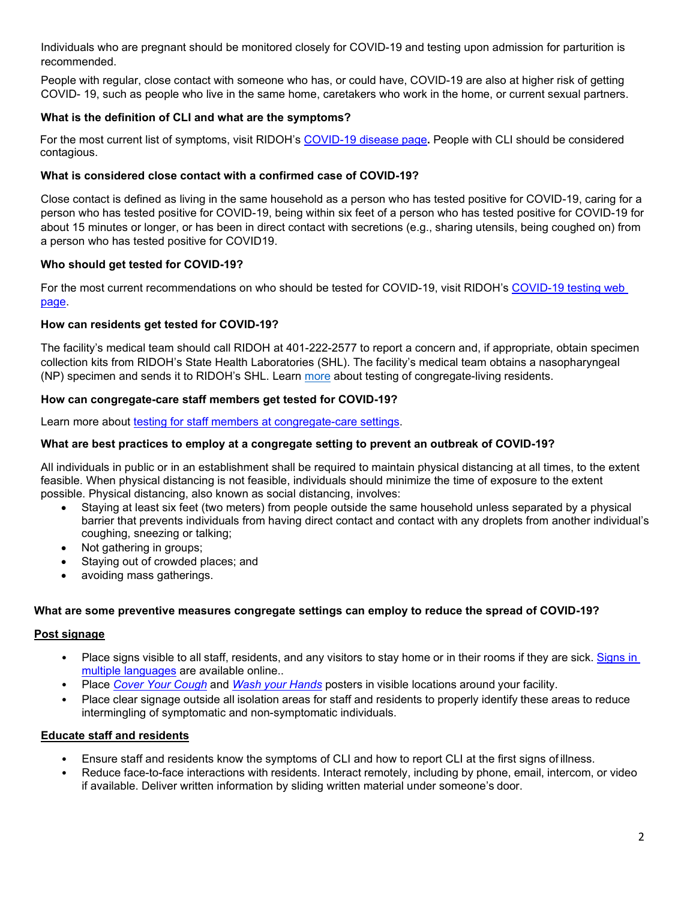Individuals who are pregnant should be monitored closely for COVID-19 and testing upon admission for parturition is recommended.

People with regular, close contact with someone who has, or could have, COVID-19 are also at higher risk of getting COVID- 19, such as people who live in the same home, caretakers who work in the home, or current sexual partners.

# **What is the definition of CLI and what are the symptoms?**

For the most current list of symptoms, visit RIDOH's [COVID-19 disease page](https://health.ri.gov/diseases/ncov2019/)**.** People with CLI should be considered contagious.

# **What is considered close contact with a confirmed case of COVID-19?**

Close contact is defined as living in the same household as a person who has tested positive for COVID-19, caring for a person who has tested positive for COVID-19, being within six feet of a person who has tested positive for COVID-19 for about 15 minutes or longer, or has been in direct contact with secretions (e.g., sharing utensils, being coughed on) from a person who has tested positive for COVID19.

# **Who should get tested for COVID-19?**

For the most current recommendations on who should be tested for COVID-19, visit RIDOH's [COVID-19 testing web](https://health.ri.gov/covid/testing/)  [page.](https://health.ri.gov/covid/testing/)

# **How can residents get tested for COVID-19?**

The facility's medical team should call RIDOH at 401-222-2577 to report a concern and, if appropriate, obtain specimen collection kits from RIDOH's State Health Laboratories (SHL). The facility's medical team obtains a nasopharyngeal (NP) specimen and sends it to RIDOH's SHL. Learn [more](https://health.ri.gov/diseases/ncov2019/for/providers/testforyourpatients/) about testing of congregate-living residents.

# **How can congregate-care staff members get tested for COVID-19?**

Learn more about [testing for staff members at congregate-care settings.](https://health.ri.gov/covid/testing/#how)

# **What are best practices to employ at a congregate setting to prevent an outbreak of COVID-19?**

All individuals in public or in an establishment shall be required to maintain physical distancing at all times, to the extent feasible. When physical distancing is not feasible, individuals should minimize the time of exposure to the extent possible. Physical distancing, also known as social distancing, involves:

- Staying at least six feet (two meters) from people outside the same household unless separated by a physical barrier that prevents individuals from having direct contact and contact with any droplets from another individual's coughing, sneezing or talking;
- Not gathering in groups;
- Staying out of crowded places; and
- avoiding mass gatherings.

# **What are some preventive measures congregate settings can employ to reduce the spread of COVID-19?**

# **Post signage**

- Place signs visible to all staff, residents, and any visitors to stay home or in their rooms if they are sick. Signs in multiple languages are available online[..](http://www.cdc.gov/coronavirus/2019-ncov/communication/factsheets.html)
- Place *Cover Your Cough* and *Wash your Hands* posters in visible locations around your facility.
- Place clear signage outside all isolation areas for staff and residents to properly identify these areas to reduce intermingling of symptomatic and non-symptomatic individuals.

# **Educate staff and residents**

- Ensure staff and residents know the symptoms of CLI and how to report CLI at the first signs of illness.
- Reduce face-to-face interactions with residents. Interact remotely, including by phone, email, intercom, or video if available. Deliver written information by sliding written material under someone's door.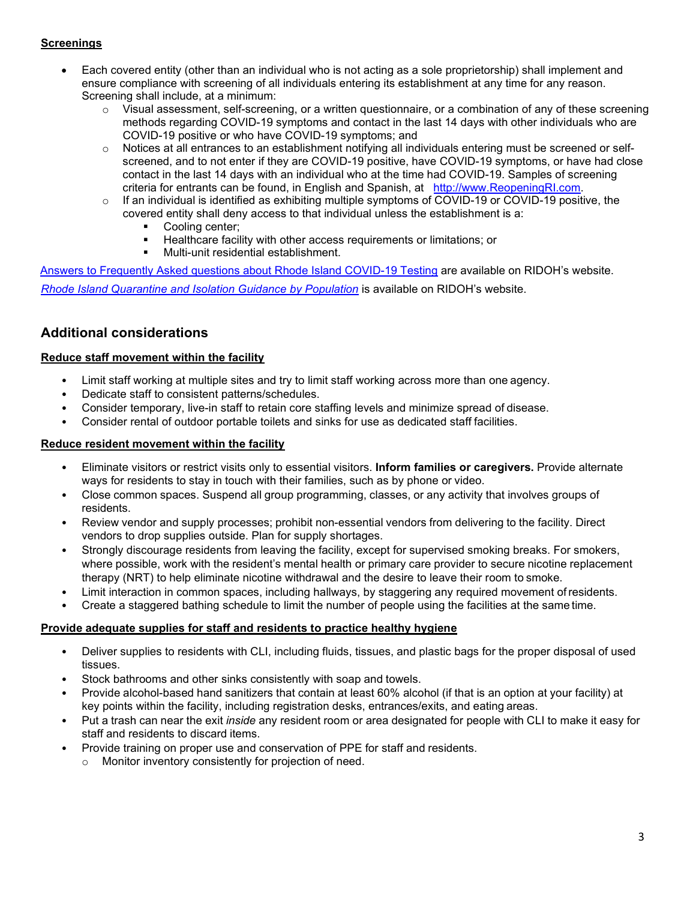### **Screenings**

- Each covered entity (other than an individual who is not acting as a sole proprietorship) shall implement and ensure compliance with screening of all individuals entering its establishment at any time for any reason. Screening shall include, at a minimum:
	- $\circ$  Visual assessment, self-screening, or a written questionnaire, or a combination of any of these screening methods regarding COVID-19 symptoms and contact in the last 14 days with other individuals who are COVID-19 positive or who have COVID-19 symptoms; and
	- $\circ$  Notices at all entrances to an establishment notifying all individuals entering must be screened or selfscreened, and to not enter if they are COVID-19 positive, have COVID-19 symptoms, or have had close contact in the last 14 days with an individual who at the time had COVID-19. Samples of screening criteria for entrants can be found, in English and Spanish, at [http://www.ReopeningRI.com.](http://www.reopeningri.com/)
	- $\circ$  If an individual is identified as exhibiting multiple symptoms of COVID-19 or COVID-19 positive, the covered entity shall deny access to that individual unless the establishment is a:
		- Cooling center;
		- Healthcare facility with other access requirements or limitations; or<br>■ Multi-unit residential establishment
		- Multi-unit residential establishment.

Answers to Frequently [Asked questions about Rhode Island COVID-19 Testing](https://health.ri.gov/publications/frequentlyaskedquestions/RI-COVID-19-Testing.pdf) are available on RIDOH's website.

*[Rhode Island Quarantine and Isolation Guidance by Population](https://health.ri.gov/publications/guidance/COVID-19-Quarantine-and-Isolation-Guidance-by-Population.pdf)* is available on RIDOH's website.

# **Additional considerations**

### **Reduce staff movement within the facility**

- Limit staff working at multiple sites and try to limit staff working across more than one agency.
- Dedicate staff to consistent patterns/schedules.
- Consider temporary, live-in staff to retain core staffing levels and minimize spread of disease.
- Consider rental of outdoor portable toilets and sinks for use as dedicated staff facilities.

### **Reduce resident movement within the facility**

- Eliminate visitors or restrict visits only to essential visitors. **Inform families or caregivers.** Provide alternate ways for residents to stay in touch with their families, such as by phone or video.
- Close common spaces. Suspend all group programming, classes, or any activity that involves groups of residents.
- Review vendor and supply processes; prohibit non-essential vendors from delivering to the facility. Direct vendors to drop supplies outside. Plan for supply shortages.
- Strongly discourage residents from leaving the facility, except for supervised smoking breaks. For smokers, where possible, work with the resident's mental health or primary care provider to secure nicotine replacement therapy (NRT) to help eliminate nicotine withdrawal and the desire to leave their room to smoke.
- Limit interaction in common spaces, including hallways, by staggering any required movement of residents.
- Create a staggered bathing schedule to limit the number of people using the facilities at the same time.

### **Provide adequate supplies for staff and residents to practice healthy hygiene**

- Deliver supplies to residents with CLI, including fluids, tissues, and plastic bags for the proper disposal of used tissues.
- Stock bathrooms and other sinks consistently with soap and towels.
- Provide alcohol-based hand sanitizers that contain at least 60% alcohol (if that is an option at your facility) at key points within the facility, including registration desks, entrances/exits, and eating areas.
- Put a trash can near the exit *inside* any resident room or area designated for people with CLI to make it easy for staff and residents to discard items.
- Provide training on proper use and conservation of PPE for staff and residents.
	- Monitor inventory consistently for projection of need.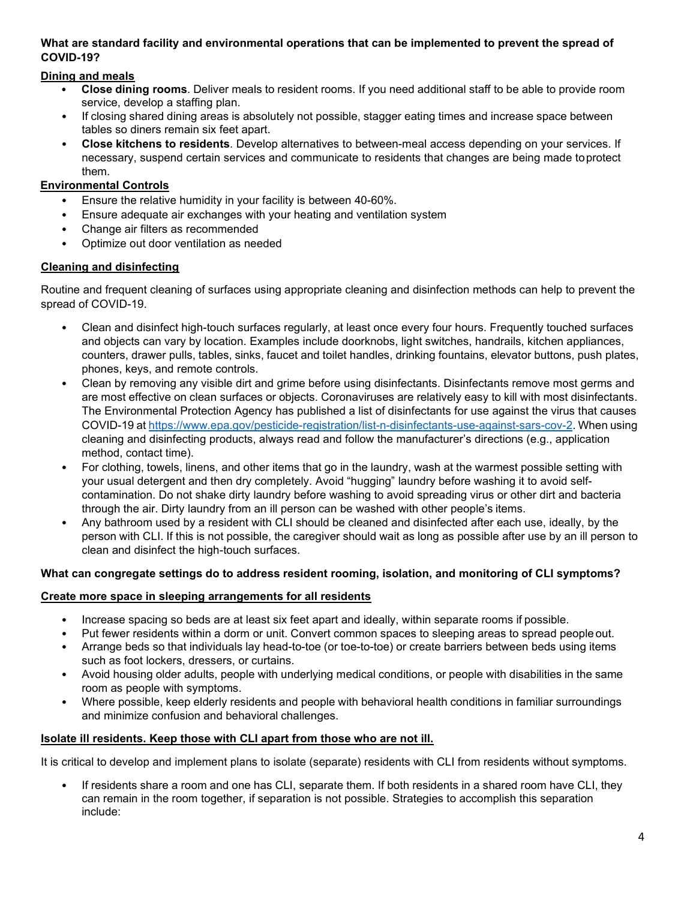### **What are standard facility and environmental operations that can be implemented to prevent the spread of COVID-19?**

# **Dining and meals**

- **Close dining rooms**. Deliver meals to resident rooms. If you need additional staff to be able to provide room service, develop a staffing plan.
- If closing shared dining areas is absolutely not possible, stagger eating times and increase space between tables so diners remain six feet apart.
- **Close kitchens to residents**. Develop alternatives to between-meal access depending on your services. If necessary, suspend certain services and communicate to residents that changes are being made toprotect them.

# **Environmental Controls**

- Ensure the relative humidity in your facility is between 40-60%.
- Ensure adequate air exchanges with your heating and ventilation system
- Change air filters as recommended
- Optimize out door ventilation as needed

# **Cleaning and disinfecting**

Routine and frequent cleaning of surfaces using appropriate cleaning and disinfection methods can help to prevent the spread of COVID-19.

- Clean and disinfect high-touch surfaces regularly, at least once every four hours. Frequently touched surfaces and objects can vary by location. Examples include doorknobs, light switches, handrails, kitchen appliances, counters, drawer pulls, tables, sinks, faucet and toilet handles, drinking fountains, elevator buttons, push plates, phones, keys, and remote controls.
- Clean by removing any visible dirt and grime before using disinfectants. Disinfectants remove most germs and are most effective on clean surfaces or objects. Coronaviruses are relatively easy to kill with most disinfectants. The Environmental Protection Agency has published a list of disinfectants for use against the virus that causes COVID-19 at [https://www.epa.gov/pesticide-registration/list-n-disinfectants-use-against-sars-cov-2.](https://www.epa.gov/pesticide-registration/list-n-disinfectants-use-against-sars-cov-2) When using cleaning and disinfecting products, always read and follow the manufacturer's directions (e.g., application method, contact time).
- For clothing, towels, linens, and other items that go in the laundry, wash at the warmest possible setting with your usual detergent and then dry completely. Avoid "hugging" laundry before washing it to avoid selfcontamination. Do not shake dirty laundry before washing to avoid spreading virus or other dirt and bacteria through the air. Dirty laundry from an ill person can be washed with other people's items.
- Any bathroom used by a resident with CLI should be cleaned and disinfected after each use, ideally, by the person with CLI. If this is not possible, the caregiver should wait as long as possible after use by an ill person to clean and disinfect the high-touch surfaces.

# **What can congregate settings do to address resident rooming, isolation, and monitoring of CLI symptoms?**

# **Create more space in sleeping arrangements for all residents**

- Increase spacing so beds are at least six feet apart and ideally, within separate rooms if possible.
- Put fewer residents within a dorm or unit. Convert common spaces to sleeping areas to spread people out.
- Arrange beds so that individuals lay head-to-toe (or toe-to-toe) or create barriers between beds using items such as foot lockers, dressers, or curtains.
- Avoid housing older adults, people with underlying medical conditions, or people with disabilities in the same room as people with symptoms.
- Where possible, keep elderly residents and people with behavioral health conditions in familiar surroundings and minimize confusion and behavioral challenges.

# **Isolate ill residents. Keep those with CLI apart from those who are not ill.**

It is critical to develop and implement plans to isolate (separate) residents with CLI from residents without symptoms.

• If residents share a room and one has CLI, separate them. If both residents in a shared room have CLI, they can remain in the room together, if separation is not possible. Strategies to accomplish this separation include: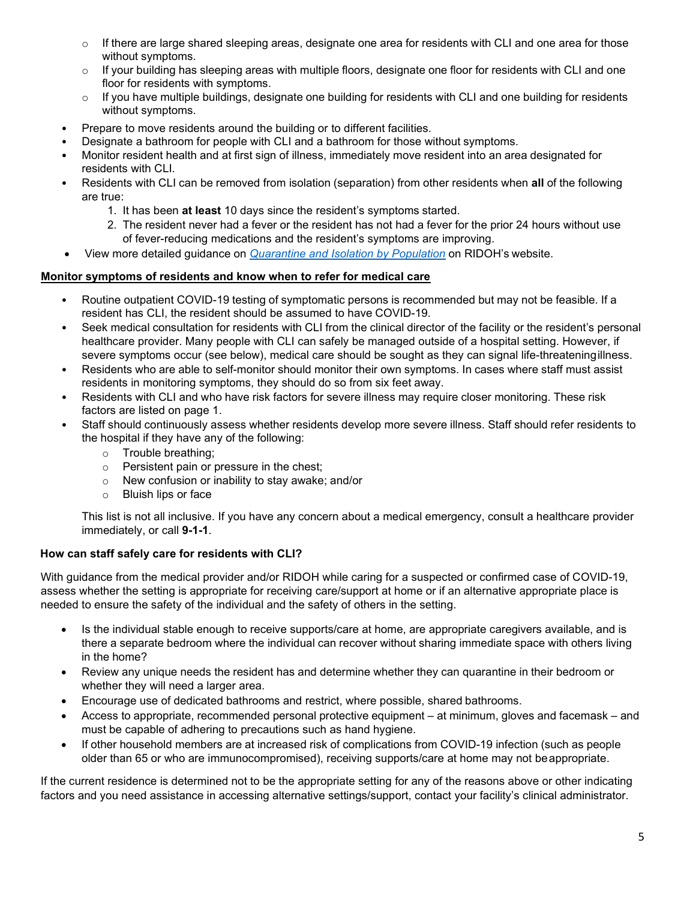- $\circ$  If there are large shared sleeping areas, designate one area for residents with CLI and one area for those without symptoms.
- $\circ$  If your building has sleeping areas with multiple floors, designate one floor for residents with CLI and one floor for residents with symptoms.
- $\circ$  If you have multiple buildings, designate one building for residents with CLI and one building for residents without symptoms.
- Prepare to move residents around the building or to different facilities.
- Designate a bathroom for people with CLI and a bathroom for those without symptoms.
- Monitor resident health and at first sign of illness, immediately move resident into an area designated for residents with CLI.
- Residents with CLI can be removed from isolation (separation) from other residents when **all** of the following are true:
	- 1. It has been **at least** 10 days since the resident's symptoms started.
	- 2. The resident never had a fever or the resident has not had a fever for the prior 24 hours without use of fever-reducing medications and the resident's symptoms are improving.
- View more detailed guidance on *[Quarantine and Isolation by Population](https://health.ri.gov/publications/guidance/COVID-19-Quarantine-and-Isolation-Guidance-by-Population.pdf)* on RIDOH's website.

### **Monitor symptoms of residents and know when to refer for medical care**

- Routine outpatient COVID-19 testing of symptomatic persons is recommended but may not be feasible. If a resident has CLI, the resident should be assumed to have COVID-19.
- Seek medical consultation for residents with CLI from the clinical director of the facility or the resident's personal healthcare provider. Many people with CLI can safely be managed outside of a hospital setting. However, if severe symptoms occur (see below), medical care should be sought as they can signal life-threateningillness.
- Residents who are able to self-monitor should monitor their own symptoms. In cases where staff must assist residents in monitoring symptoms, they should do so from six feet away.
- Residents with CLI and who have risk factors for severe illness may require closer monitoring. These risk factors are listed on page 1.
- Staff should continuously assess whether residents develop more severe illness. Staff should refer residents to the hospital if they have any of the following:
	- o Trouble breathing;
	- o Persistent pain or pressure in the chest;
	- o New confusion or inability to stay awake; and/or
	- o Bluish lips or face

This list is not all inclusive. If you have any concern about a medical emergency, consult a healthcare provider immediately, or call **9-1-1**.

# **How can staff safely care for residents with CLI?**

With guidance from the medical provider and/or RIDOH while caring for a suspected or confirmed case of COVID-19, assess whether the setting is appropriate for receiving care/support at home or if an alternative appropriate place is needed to ensure the safety of the individual and the safety of others in the setting.

- Is the individual stable enough to receive supports/care at home, are appropriate caregivers available, and is there a separate bedroom where the individual can recover without sharing immediate space with others living in the home?
- Review any unique needs the resident has and determine whether they can quarantine in their bedroom or whether they will need a larger area.
- Encourage use of dedicated bathrooms and restrict, where possible, shared bathrooms.
- Access to appropriate, recommended personal protective equipment at minimum, gloves and facemask and must be capable of adhering to precautions such as hand hygiene.
- If other household members are at increased risk of complications from COVID-19 infection (such as people older than 65 or who are immunocompromised), receiving supports/care at home may not beappropriate.

If the current residence is determined not to be the appropriate setting for any of the reasons above or other indicating factors and you need assistance in accessing alternative settings/support, contact your facility's clinical administrator.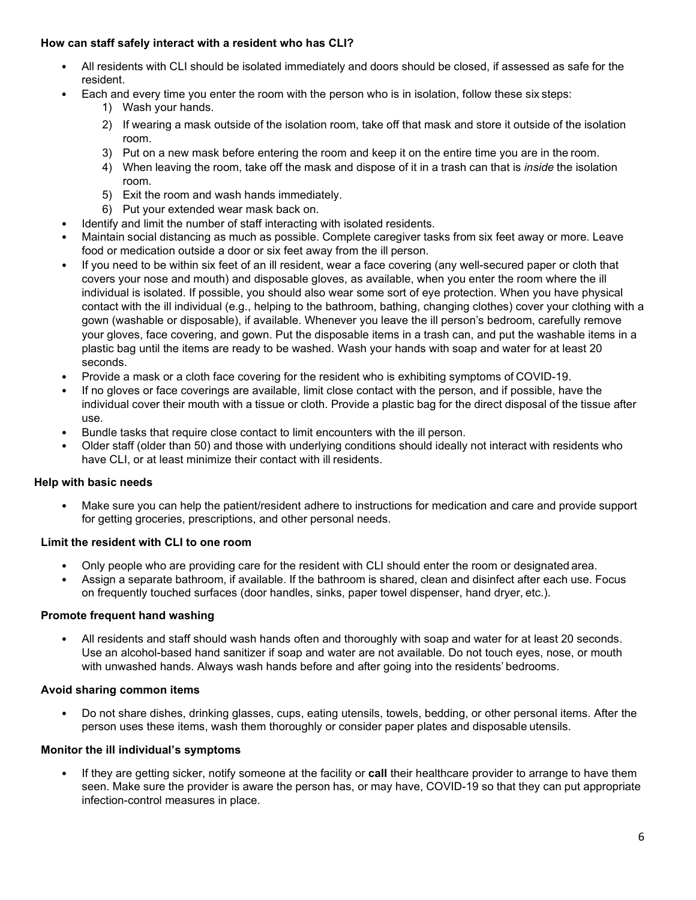### **How can staff safely interact with a resident who has CLI?**

- All residents with CLI should be isolated immediately and doors should be closed, if assessed as safe for the resident.
- Each and every time you enter the room with the person who is in isolation, follow these six steps:
	- 1) Wash your hands.
	- 2) If wearing a mask outside of the isolation room, take off that mask and store it outside of the isolation room.
	- 3) Put on a new mask before entering the room and keep it on the entire time you are in the room.
	- 4) When leaving the room, take off the mask and dispose of it in a trash can that is *inside* the isolation room.
	- 5) Exit the room and wash hands immediately.
	- 6) Put your extended wear mask back on.
- Identify and limit the number of staff interacting with isolated residents.
- Maintain social distancing as much as possible. Complete caregiver tasks from six feet away or more. Leave food or medication outside a door or six feet away from the ill person.
- If you need to be within six feet of an ill resident, wear a face covering (any well-secured paper or cloth that covers your nose and mouth) and disposable gloves, as available, when you enter the room where the ill individual is isolated. If possible, you should also wear some sort of eye protection. When you have physical contact with the ill individual (e.g., helping to the bathroom, bathing, changing clothes) cover your clothing with a gown (washable or disposable), if available. Whenever you leave the ill person's bedroom, carefully remove your gloves, face covering, and gown. Put the disposable items in a trash can, and put the washable items in a plastic bag until the items are ready to be washed. Wash your hands with soap and water for at least 20 seconds.
- Provide a mask or a cloth face covering for the resident who is exhibiting symptoms of COVID-19.
- If no gloves or face coverings are available, limit close contact with the person, and if possible, have the individual cover their mouth with a tissue or cloth. Provide a plastic bag for the direct disposal of the tissue after use.
- Bundle tasks that require close contact to limit encounters with the ill person.
- Older staff (older than 50) and those with underlying conditions should ideally not interact with residents who have CLI, or at least minimize their contact with ill residents.

### **Help with basic needs**

• Make sure you can help the patient/resident adhere to instructions for medication and care and provide support for getting groceries, prescriptions, and other personal needs.

### **Limit the resident with CLI to one room**

- Only people who are providing care for the resident with CLI should enter the room or designated area.
- Assign a separate bathroom, if available. If the bathroom is shared, clean and disinfect after each use. Focus on frequently touched surfaces (door handles, sinks, paper towel dispenser, hand dryer, etc.).

### **Promote frequent hand washing**

• All residents and staff should wash hands often and thoroughly with soap and water for at least 20 seconds. Use an alcohol-based hand sanitizer if soap and water are not available. Do not touch eyes, nose, or mouth with unwashed hands. Always wash hands before and after going into the residents' bedrooms.

### **Avoid sharing common items**

• Do not share dishes, drinking glasses, cups, eating utensils, towels, bedding, or other personal items. After the person uses these items, wash them thoroughly or consider paper plates and disposable utensils.

### **Monitor the ill individual's symptoms**

• If they are getting sicker, notify someone at the facility or **call** their healthcare provider to arrange to have them seen. Make sure the provider is aware the person has, or may have, COVID-19 so that they can put appropriate infection-control measures in place.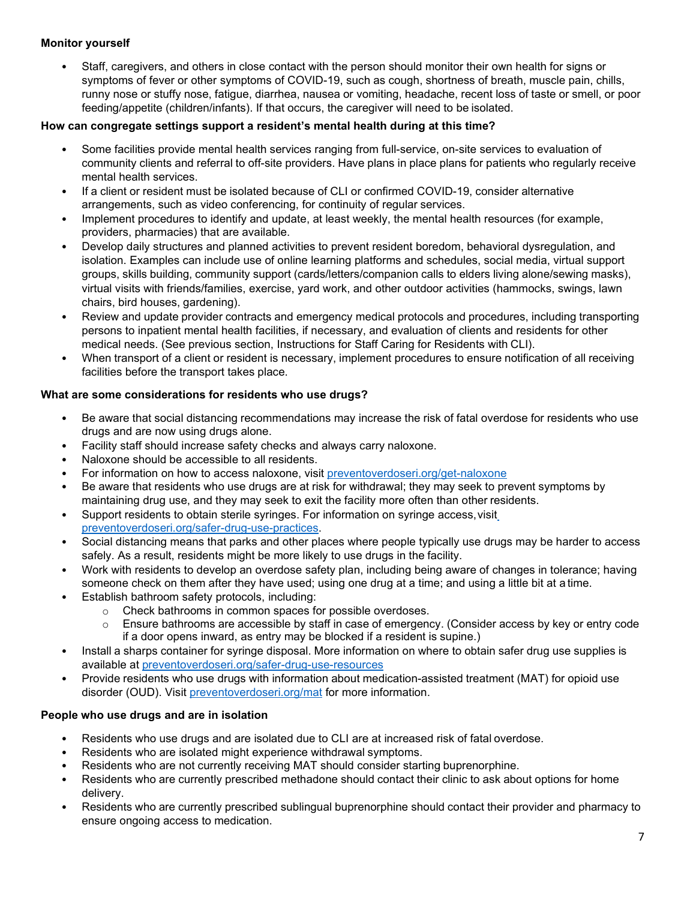### **Monitor yourself**

• Staff, caregivers, and others in close contact with the person should monitor their own health for signs or symptoms of fever or other symptoms of COVID-19, such as cough, shortness of breath, muscle pain, chills, runny nose or stuffy nose, fatigue, diarrhea, nausea or vomiting, headache, recent loss of taste or smell, or poor feeding/appetite (children/infants). If that occurs, the caregiver will need to be isolated.

### **How can congregate settings support a resident's mental health during at this time?**

- Some facilities provide mental health services ranging from full-service, on-site services to evaluation of community clients and referral to off-site providers. Have plans in place plans for patients who regularly receive mental health services.
- If a client or resident must be isolated because of CLI or confirmed COVID-19, consider alternative arrangements, such as video conferencing, for continuity of regular services.
- Implement procedures to identify and update, at least weekly, the mental health resources (for example, providers, pharmacies) that are available.
- Develop daily structures and planned activities to prevent resident boredom, behavioral dysregulation, and isolation. Examples can include use of online learning platforms and schedules, social media, virtual support groups, skills building, community support (cards/letters/companion calls to elders living alone/sewing masks), virtual visits with friends/families, exercise, yard work, and other outdoor activities (hammocks, swings, lawn chairs, bird houses, gardening).
- Review and update provider contracts and emergency medical protocols and procedures, including transporting persons to inpatient mental health facilities, if necessary, and evaluation of clients and residents for other medical needs. (See previous section, Instructions for Staff Caring for Residents with CLI).
- When transport of a client or resident is necessary, implement procedures to ensure notification of all receiving facilities before the transport takes place.

### **What are some considerations for residents who use drugs?**

- Be aware that social distancing recommendations may increase the risk of fatal overdose for residents who use drugs and are now using drugs alone.
- Facility staff should increase safety checks and always carry naloxone.
- Naloxone should be accessible to all residents.
- For information on how to access naloxone, visit [preventoverdoseri.org/get-naloxone](https://preventoverdoseri.org/get-naloxone/)
- Be aware that residents who use drugs are at risk for withdrawal; they may seek to prevent symptoms by maintaining drug use, and they may seek to exit the facility more often than other residents.
- Support residents to obtain sterile syringes. For information on syringe access, visit [preventoverdoseri.org/safer-drug-use-practices.](https://preventoverdoseri.org/safer-drug-use-practices/)
- Social distancing means that parks and other places where people typically use drugs may be harder to access safely. As a result, residents might be more likely to use drugs in the facility.
- Work with residents to develop an overdose safety plan, including being aware of changes in tolerance; having someone check on them after they have used; using one drug at a time; and using a little bit at a time.
- Establish bathroom safety protocols, including:
	- $\circ$  Check bathrooms in common spaces for possible overdoses.<br>  $\circ$  Ensure bathrooms are accessible by staff in case of emergend
	- Ensure bathrooms are accessible by staff in case of emergency. (Consider access by key or entry code if a door opens inward, as entry may be blocked if a resident is supine.)
- Install a sharps container for syringe disposal. More information on where to obtain safer drug use supplies is available at [preventoverdoseri.org/safer-drug-use-resources](https://preventoverdoseri.org/safer-drug-use-resources/)
- Provide residents who use drugs with information about medication-assisted treatment (MAT) for opioid use disorder (OUD). Visit [preventoverdoseri.org/mat](https://preventoverdoseri.org/mat/) for more information.

### **People who use drugs and are in isolation**

- Residents who use drugs and are isolated due to CLI are at increased risk of fatal overdose.
- Residents who are isolated might experience withdrawal symptoms.
- Residents who are not currently receiving MAT should consider starting buprenorphine.
- Residents who are currently prescribed methadone should contact their clinic to ask about options for home delivery.
- Residents who are currently prescribed sublingual buprenorphine should contact their provider and pharmacy to ensure ongoing access to medication.